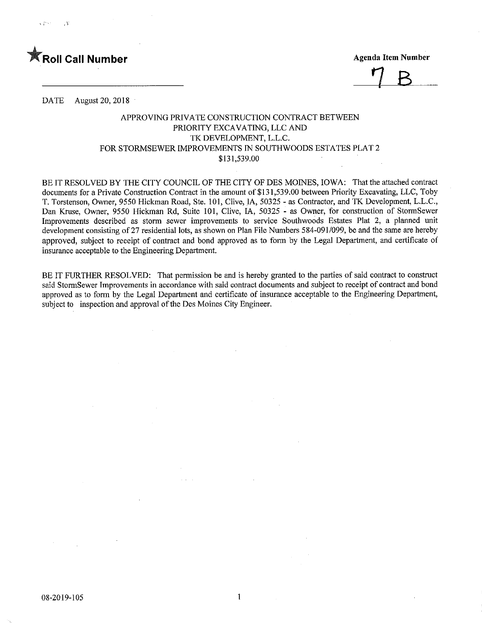



DATE August 20, 2018

## APPROVING PRIVATE CONSTRUCTION CONTRACT BETWEEN PRIORITY EXCAVATING, LLC AND TK DEVELOPMENT, L.L.C. FOR STORMSEWER IMPROVEMENTS IN SOUTHWOODS ESTATES PLAT 2 \$131,539.00

BE IT RESOLVED BY THE CITY COUNCIL OF THE CITY OF DES MOINES, IOWA: That the attached contract documents for a Private Construction Contract in the amount of \$131,539.00 between Priority Excavating, LLC, Toby T. Torstenson, Owner, 9550 Hickman Road, Ste. 101, CIive, IA, 50325 - as Contractor, and TK Development, L.L.C., Dan Kruse, Owner, 9550 Hickman Rd, Suite 101, Clive, IA, 50325 - as Owner, for construction of StormSewer Improvements described as storm sewer improvements to service Southwoods Estates Plat 2, a planned unit development consisting of 27 residential lots, as shown on Plan File Numbers 584-091/099, be and the same are hereby approved, subject to receipt of contract and bond approved as to form by the Legal Department, and certificate of insurance acceptable to the Engineering Department.

BE IT FURTHER RESOLVED: That permission be and is hereby granted to the parties of said contract to construct said StormSewer Improvements in accordance with said contract documents and subject to receipt of contract and bond approved as to form by the Legal Department and certificate of insurance acceptable to the Engineering Department, subject to inspection and approval of the Des Moines City Engineer.

 $\mathbf{1}$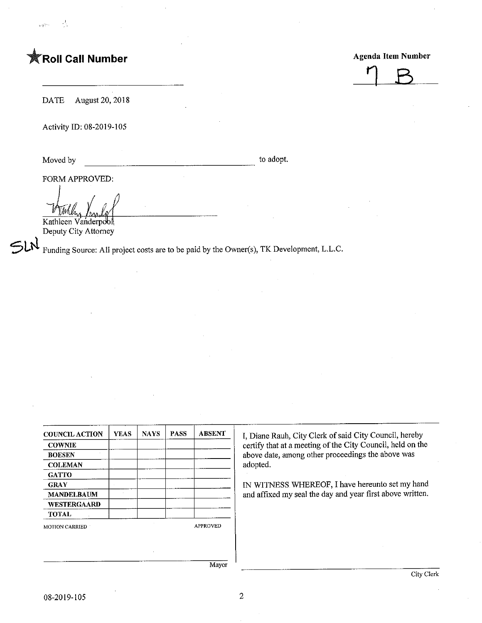## **The Call Number Agenda Item Number Agenda Item Number**



DATE August 20, 2018

Activity ID: 08-2019-105

Moved by to adopt.

FORM APPROVED:

Kathleen Vanderpool Deputy City Attorney

 $\mathfrak{Sh}$ Funding Source: All project costs are to be paid by the Owner(s), TK Development, L.L.C.

| <b>COUNCIL ACTION</b> | YEAS. | <b>NAYS</b> | <b>PASS</b> | <b>ABSENT</b>   |
|-----------------------|-------|-------------|-------------|-----------------|
| <b>COWNIE</b>         |       |             |             |                 |
| <b>BOESEN</b>         |       |             |             |                 |
| <b>COLEMAN</b>        |       |             |             |                 |
| <b>GATTO</b>          |       |             |             |                 |
| <b>GRAY</b>           |       |             |             |                 |
| <b>MANDELBAUM</b>     |       |             |             |                 |
| WESTERGAARD           |       |             |             |                 |
| <b>TOTAL</b>          |       |             |             |                 |
| <b>MOTION CARRIED</b> |       |             |             | <b>APPROVED</b> |

I, Diane Rauh, City Clerk of said City Council, hereby certify that at a meeting of the City Council, held on the above date, among other proceedings the above was adopted.

IN WITNESS WHEREOF, I have hereunto set my hand and affixed my seal the day and year first above written.

Mayor